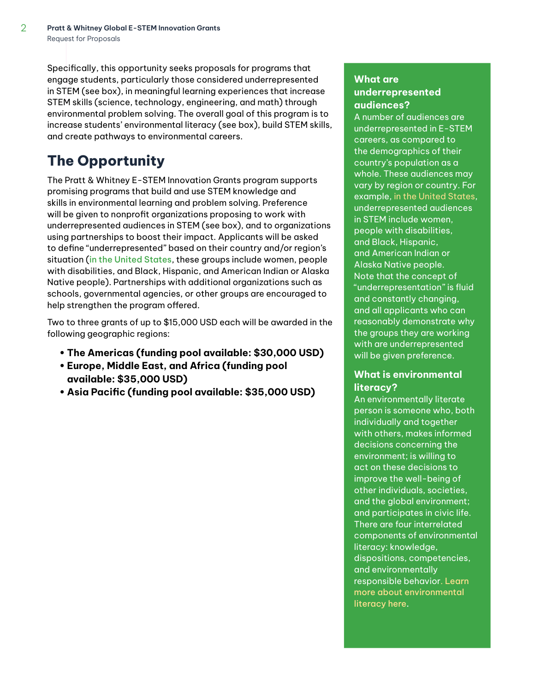Specifically, this opportunity seeks proposals for programs that engage students, particularly those considered underrepresented in STEM (see box), in meaningful learning experiences that increase STEM skills (science, technology, engineering, and math) through environmental problem solving. The overall goal of this program is to increase students' environmental literacy (see box), build STEM skills, and create pathways to environmental careers.

# **The Opportunity**

The Pratt & Whitney E-STEM Innovation Grants program supports promising programs that build and use STEM knowledge and skills in environmental learning and problem solving. Preference will be given to nonprofit organizations proposing to work with underrepresented audiences in STEM (see box), and to organizations using partnerships to boost their impact. Applicants will be asked to define "underrepresented" based on their country and/or region's situation ([in the United States](https://en.wikipedia.org/wiki/Underrepresented_group), these groups include women, people with disabilities, and Black, Hispanic, and American Indian or Alaska Native people). Partnerships with additional organizations such as schools, governmental agencies, or other groups are encouraged to help strengthen the program offered.

Two to three grants of up to \$15,000 USD each will be awarded in the following geographic regions:

- **The Americas (funding pool available: \$30,000 USD)**
- **Europe, Middle East, and Africa (funding pool available: \$35,000 USD)**
- **Asia Pacific (funding pool available: \$35,000 USD)**

### **What are underrepresented audiences?**

A number of audiences are underrepresented in E-STEM careers, as compared to the demographics of their country's population as a whole. These audiences may vary by region or country. For example, [in the United States,](https://en.wikipedia.org/wiki/Underrepresented_group) underrepresented audiences in STEM include women, people with disabilities, and Black, Hispanic, and American Indian or Alaska Native people. Note that the concept of "underrepresentation" is fluid and constantly changing, and all applicants who can reasonably demonstrate why the groups they are working with are underrepresented will be given preference.

## **What is environmental literacy?**

An environmentally literate person is someone who, both individually and together with others, makes informed decisions concerning the environment; is willing to act on these decisions to improve the well-being of other individuals, societies, and the global environment; and participates in civic life. There are four interrelated components of environmental literacy: knowledge, dispositions, competencies, and environmentally responsible behavior. [Learn](https://cdn.naaee.org/sites/default/files/devframewkassessenvlitonlineed.pdf)  [more about environmental](https://cdn.naaee.org/sites/default/files/devframewkassessenvlitonlineed.pdf)  [literacy here](https://cdn.naaee.org/sites/default/files/devframewkassessenvlitonlineed.pdf).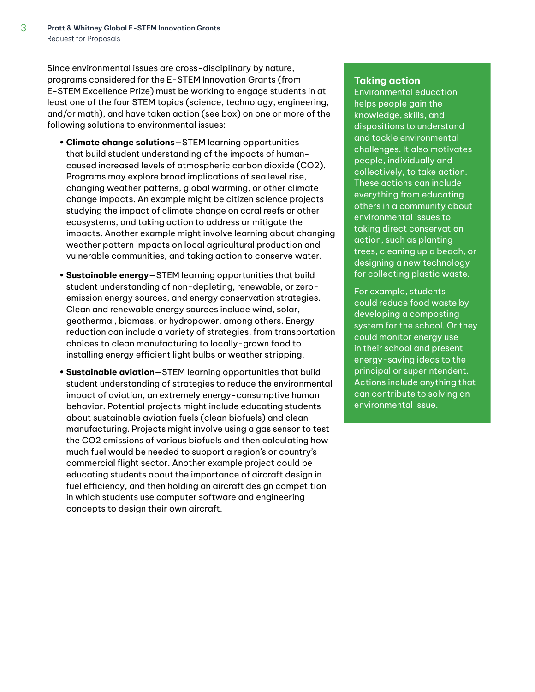Since environmental issues are cross-disciplinary by nature, programs considered for the E-STEM Innovation Grants (from E-STEM Excellence Prize) must be working to engage students in at least one of the four STEM topics (science, technology, engineering, and/or math), and have taken action (see box) on one or more of the following solutions to environmental issues:

- **Climate change solutions**—STEM learning opportunities that build student understanding of the impacts of humancaused increased levels of atmospheric carbon dioxide (CO2). Programs may explore broad implications of sea level rise, changing weather patterns, global warming, or other climate change impacts. An example might be citizen science projects studying the impact of climate change on coral reefs or other ecosystems, and taking action to address or mitigate the impacts. Another example might involve learning about changing weather pattern impacts on local agricultural production and vulnerable communities, and taking action to conserve water.
- **Sustainable energy**—STEM learning opportunities that build student understanding of non-depleting, renewable, or zeroemission energy sources, and energy conservation strategies. Clean and renewable energy sources include wind, solar, geothermal, biomass, or hydropower, among others. Energy reduction can include a variety of strategies, from transportation choices to clean manufacturing to locally-grown food to installing energy efficient light bulbs or weather stripping.
- **Sustainable aviation**—STEM learning opportunities that build student understanding of strategies to reduce the environmental impact of aviation, an extremely energy-consumptive human behavior. Potential projects might include educating students about sustainable aviation fuels (clean biofuels) and clean manufacturing. Projects might involve using a gas sensor to test the CO2 emissions of various biofuels and then calculating how much fuel would be needed to support a region's or country's commercial flight sector. Another example project could be educating students about the importance of aircraft design in fuel efficiency, and then holding an aircraft design competition in which students use computer software and engineering concepts to design their own aircraft.

#### **Taking action**

Environmental education helps people gain the knowledge, skills, and dispositions to understand and tackle environmental challenges. It also motivates people, individually and collectively, to take action. These actions can include everything from educating others in a community about environmental issues to taking direct conservation action, such as planting trees, cleaning up a beach, or designing a new technology for collecting plastic waste.

For example, students could reduce food waste by developing a composting system for the school. Or they could monitor energy use in their school and present energy-saving ideas to the principal or superintendent. Actions include anything that can contribute to solving an environmental issue.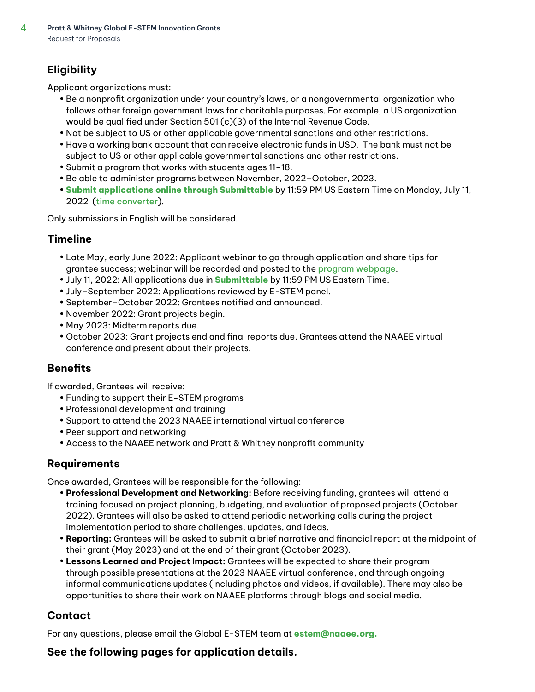## **Eligibility**

Applicant organizations must:

- Be a nonprofit organization under your country's laws, or a nongovernmental organization who follows other foreign government laws for charitable purposes. For example, a US organization would be qualified under Section 501 (c)(3) of the Internal Revenue Code.
- Not be subject to US or other applicable governmental sanctions and other restrictions.
- Have a working bank account that can receive electronic funds in USD. The bank must not be subject to US or other applicable governmental sanctions and other restrictions.
- Submit a program that works with students ages 11–18.
- Be able to administer programs between November, 2022–October, 2023.
- **[Submit applications online through Submittable](https://naaee.submittable.com/submit/e64d0d14-dfb3-4766-a8f5-4e93e9621017/pratt-whitney-e-stem-innovation-grants-2022)** by 11:59 PM US Eastern Time on Monday, July 11, 2022 ([time converter](https://www.timeanddate.com/worldclock/converter.html?iso=20220712T035900&p1=tz_et)).

Only submissions in English will be considered.

## **Timeline**

- Late May, early June 2022: Applicant webinar to go through application and share tips for grantee success; webinar will be recorded and posted to the [program webpage](https://naaee.org/programs/e-stem/e-stem-awards).
- July 11, 2022: All applications due in **[Submittable](https://naaee.submittable.com/submit/e64d0d14-dfb3-4766-a8f5-4e93e9621017/pratt-whitney-e-stem-innovation-grants-2022)** by 11:59 PM US Eastern Time.
- July–September 2022: Applications reviewed by E-STEM panel.
- September–October 2022: Grantees notified and announced.
- November 2022: Grant projects begin.
- May 2023: Midterm reports due.
- October 2023: Grant projects end and final reports due. Grantees attend the NAAEE virtual conference and present about their projects.

## **Benefits**

If awarded, Grantees will receive:

- Funding to support their E-STEM programs
- Professional development and training
- Support to attend the 2023 NAAEE international virtual conference
- Peer support and networking
- Access to the NAAEE network and Pratt & Whitney nonprofit community

## **Requirements**

Once awarded, Grantees will be responsible for the following:

- **Professional Development and Networking:** Before receiving funding, grantees will attend a training focused on project planning, budgeting, and evaluation of proposed projects (October 2022). Grantees will also be asked to attend periodic networking calls during the project implementation period to share challenges, updates, and ideas.
- **Reporting:** Grantees will be asked to submit a brief narrative and financial report at the midpoint of their grant (May 2023) and at the end of their grant (October 2023).
- **Lessons Learned and Project Impact:** Grantees will be expected to share their program through possible presentations at the 2023 NAAEE virtual conference, and through ongoing informal communications updates (including photos and videos, if available). There may also be opportunities to share their work on NAAEE platforms through blogs and social media.

## **Contact**

For any questions, please email the Global E-STEM team at **[estem@naaee.org.](mailto:estem%40naaee.org?subject=)**

## **See the following pages for application details.**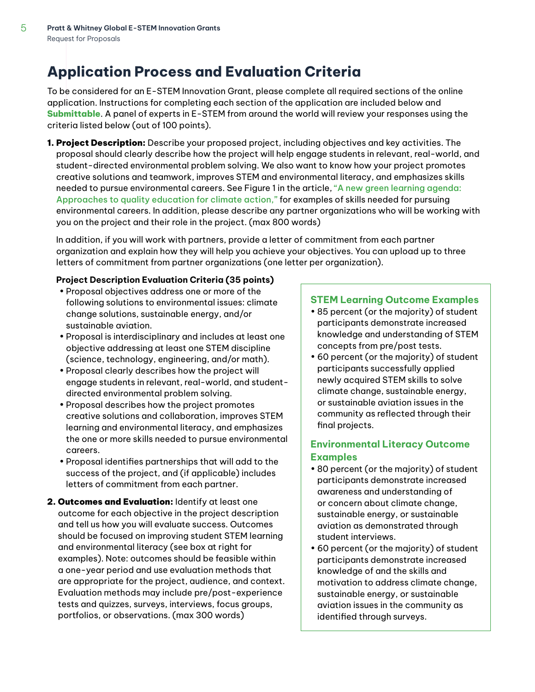## **Application Process and Evaluation Criteria**

To be considered for an E-STEM Innovation Grant, please complete all required sections of the online application. Instructions for completing each section of the application are included below and **[Submittable](https://naaee.submittable.com/submit/e64d0d14-dfb3-4766-a8f5-4e93e9621017/pratt-whitney-e-stem-innovation-grants-2022)**. A panel of experts in E-STEM from around the world will review your responses using the criteria listed below (out of 100 points).

**1. Project Description:** Describe your proposed project, including objectives and key activities. The proposal should clearly describe how the project will help engage students in relevant, real-world, and student-directed environmental problem solving. We also want to know how your project promotes creative solutions and teamwork, improves STEM and environmental literacy, and emphasizes skills needed to pursue environmental careers. See Figure 1 in the article, ["A new green learning agenda:](https://www.brookings.edu/research/a-new-green-learning-agenda-approaches-to-quality-education-for-climate-action/)  [Approaches to quality education for climate action,"](https://www.brookings.edu/research/a-new-green-learning-agenda-approaches-to-quality-education-for-climate-action/) for examples of skills needed for pursuing environmental careers. In addition, please describe any partner organizations who will be working with you on the project and their role in the project. (max 800 words)

In addition, if you will work with partners, provide a letter of commitment from each partner organization and explain how they will help you achieve your objectives. You can upload up to three letters of commitment from partner organizations (one letter per organization).

#### **Project Description Evaluation Criteria (35 points)**

- Proposal objectives address one or more of the following solutions to environmental issues: climate change solutions, sustainable energy, and/or sustainable aviation.
- Proposal is interdisciplinary and includes at least one objective addressing at least one STEM discipline (science, technology, engineering, and/or math).
- Proposal clearly describes how the project will engage students in relevant, real-world, and studentdirected environmental problem solving.
- Proposal describes how the project promotes creative solutions and collaboration, improves STEM learning and environmental literacy, and emphasizes the one or more skills needed to pursue environmental careers.
- Proposal identifies partnerships that will add to the success of the project, and (if applicable) includes letters of commitment from each partner.
- **2. Outcomes and Evaluation:** Identify at least one outcome for each objective in the project description and tell us how you will evaluate success. Outcomes should be focused on improving student STEM learning and environmental literacy (see box at right for examples). Note: outcomes should be feasible within a one-year period and use evaluation methods that are appropriate for the project, audience, and context. Evaluation methods may include pre/post-experience tests and quizzes, surveys, interviews, focus groups, portfolios, or observations. (max 300 words)

#### **STEM Learning Outcome Examples**

- 85 percent (or the majority) of student participants demonstrate increased knowledge and understanding of STEM concepts from pre/post tests.
- 60 percent (or the majority) of student participants successfully applied newly acquired STEM skills to solve climate change, sustainable energy, or sustainable aviation issues in the community as reflected through their final projects.

## **Environmental Literacy Outcome Examples**

- 80 percent (or the majority) of student participants demonstrate increased awareness and understanding of or concern about climate change, sustainable energy, or sustainable aviation as demonstrated through student interviews.
- 60 percent (or the majority) of student participants demonstrate increased knowledge of and the skills and motivation to address climate change, sustainable energy, or sustainable aviation issues in the community as identified through surveys.